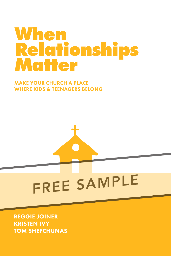# **When Relationships<br>Matter**

MAKE YOUR CHURCH A PLACE WHERE KIDS & TEENAGERS BELONG



REGGIE JOINER KRISTEN IVY TOM SHEFCHUNAS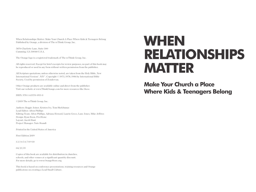When Relationships Matter: Make Your Church A Place Where Kids & Teenagers Belong Published by Orange, a division of The reThink Group, Inc.

5870 Charlotte Lane, Suite 300 Cumming, GA 30040 U.S.A.

The Orange logo is a registered trademark of The reThink Group, Inc.

All rights reserved. Except for brief excerpts for review purposes, no part of this book may be reproduced or used in any form without written permission from the publisher.

All Scripture quotations, unless otherwise noted, are taken from the Holy Bible, New International Version®. NIV®. Copyright © 1973, 1978, 1984 by International Bible Society. Used by permission of Zondervan.

Other Orange products are available online and direct from the publisher. Visit our website at www.ThinkOrange.com for more resources like these.

ISBN: 978-1-63570-093-0

©2019 The reThink Group, Inc.

Authors: Reggie Joiner, Kristen Ivy, Tom Shefchunas Lead Editor: Afton Phillips Editing Team: Afton Phillips, Adriana Howard, Laurin Greco, Lane Jones, Mike Jeffries Design: Ryan Boon, FiveStone Layout: Jacob Hunt Project Manager: Nate Brandt

Printed in the United States of America

First Edition 2019

1 2 3 4 5 6 7 8 9 10

04/23/19

Copies of this book are available for distribution in churches, schools, and other venues at a significant quantity discount. For more details, go to www.OrangeStore.org.

This book is based on conference presentations, training resources and Orange publicatons on creating a Lead Small Culture.

# **WHEN RELATIONSHIPS MATTER**

**Make Your Church a Place Where Kids & Teenagers Belong**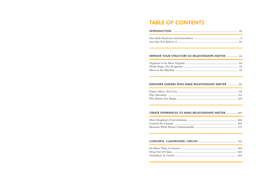## **TABLE OF CONTENTS**

#### IMPROVE YOUR STRUCTURE SO RELATIONSHIPS MATTER ................ 34

### **EMPOWER LEADERS WHO MAKE RELATIONSHIPS MATTER .............. 90**

### **CREATE EXPERIENCES TO MAKE RELATIONSHIPS MATTER .............. 140**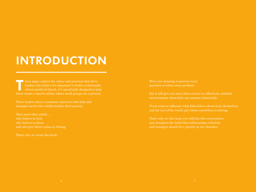# INTRODUCTION

These pages explore the values and practices that drive<br>
leaders who believe it's important to build a relationally<br>
driven model of church. It's specifically designed to help<br>
then work a church submer than we all we are leaders who believe it's important to build a relationally

These leaders share a common conviction that kids and teenagers need other adults besides their parents.

They need other adults . . . who believe in God. who believe in them. and who give them a place to belong.

That's why we wrote this book.

question or solves every problem.

If you want to influence what kids believe about God, themselves,

and champion the belief that relationships with kids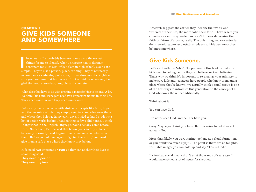## **CHAPTER 1 GIVE KIDS SOMEONE AND SOMEWHERE**

I love nouns. It's probably because nouns were the easiest<br>things for me to identify when I (Reggie) had to diagram<br>sentences for Miss McGuffey's class in high school. Nouns ar<br>simple. They're just a person, place, or thin things for me to identify when I (Reggie) had to diagram sentences for Miss McGuffey's class in high school. Nouns are as confusing as adverbs, participles, or dangling modifiers. (Make sure you don't use that last term in front of middle schoolers.) I'm glad that nouns are clear, tangible, and concrete.

What does that have to do with creating a place for kids to belong? A lot. We think kids and teenagers need two important nouns in their life. They need *someone* and they need *somewhere*.

Before anyone can wrestle with abstract concepts like faith, hope, and the meaning of life, they simply need to know who loves them and where they belong. In my early days, I tried to hand students a list of action verbs before I handed them a few solid nouns. I think I forgot that in the English language, nouns usually come before verbs. Since then, I've learned that before you can expect kids to them. Before you ask teenagers to "go tell the world," you need to give them a safe place where they know they belong.

Kids need two important nouns so they can anchor their lives to They need a *person*. They need a *place*.

Research suggests the earlier they identify the "who"s and "where"s of their life, the more solid their faith. That's where you come in as a ministry leader. You can't force or determine the faith or future of anyone, really. The only thing you can actually do is recruit leaders and establish places so kids can know they belong somewhere.

## Give Kids Someone.

Let's start with the "who." The premise of this book is that most kids need to belong before they can believe, or keep believing. That's why we think it's important to re-arrange your ministry to make sure kids and teenagers have people who know them and a place where they're known. We actually think a small group is one of the best ways to introduce this generation to the concept of a God who loves them unconditionally.

Think about it.

You can't see God.

I've never seen God, and neither have you.

Okay. Maybe you think you have. But I'm going to bet it wasn't actually God.

More than likely, you were staring too long at a cloud formation, or you drank too much Nyquil. The point is there are no tangible, verifiable images you can hold up and say, "This is God."

It's too bad social media didn't exist thousands of years ago. It would have settled a lot of issues for skeptics.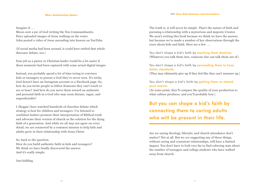Imagine if . . .

Moses sent a pic of God writing the Ten Commandments. Peter uploaded images of Jesus walking on the water. John posted a video of Jesus ascending into heaven on YouTube.

(If social media had been around, it could have settled that whole dinosaur debate, too.)

Your job as a pastor or Christian leader would be a lot easier if those moments had been captured with some actual digital images.

Instead, you probably spend a lot of time trying to convince kids or teenagers to pursue a God they've never seen. It's tricky. God doesn't have an Instagram account or a Facebook page. So, how do you invite people to follow Someone they can't touch or see or hear? And how do you move them toward an authentic and personal faith in a God who may seem distant, vague, and unpredictable?

I (Reggie) have watched hundreds of churches debate which strategy is best for children and teenagers. I've listened to confident leaders promote their interpretation of Biblical truth and advocate their version of church as the solution for the dying faith of a generation. And while we all may not agree on every detail, we are connected by a common mission to help kids and adults grow in their relationship with Jesus Christ.

So, back to the question. How do you build authentic faith in kids and teenagers? We think we have finally discovered the answer. And it's really simple.

Just kidding.

The truth is, it will never be simple. That's the nature of faith and pursuing a relationship with a mysterious and majestic Creator. We aren't writing this book because we think we have the answer, but because we've made a number of key observations through the years about kids and faith. Here are a few . . .

You don't shape a kid's faith by teaching them doctrine. (Whatever you talk them into, someone else can talk them out of.)

You don't shape a kid's faith by persuading them to have better standards.

(They may ultimately give up if they feel like they can't measure up.)

You don't shape a kid's faith by getting them to attend your events.

(At some point, they'll compare the quality of your production to what culture produces, and you'll probably lose.)

But you can shape a kid's faith by connecting them to caring adults who will be present in their life.

Are we saying theology, lifestyle, and church attendance don't matter? Not at all. But we *are* suggesting any of those things, without caring and consistent relationships, will have a limited impact. You don't have to look very far to find sobering stats about the number of teenagers and college students who have walked away from church.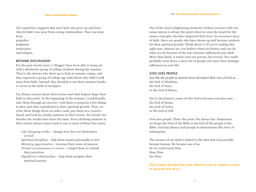Our experience suggests that most kids who grow up and leave church didn't run away from caring relationships. They ran away from . . . prejudice judgment irrelevance and religion.

#### RETHINK DISCIPLESHIP.

For the past twenty years, I (Reggie) have been able to hang out with a distinctive group of college students during the summer. They're the interns who show up to help at summer camps, and they represent a group of college-age individuals who didn't walk away from faith. Instead, they decided to use their summer breaks to invest in the faith of teenagers.

I'm always curious about their stories and what helped shape their faith to this point. At the beginning of the summer, I traditionally take them through an exercise. I ask them to pinpoint a few things in their past that contributed to their spiritual growth. Then, we write those things down on index cards, put them on a creative board, and look for similar patterns in their stories. For nearly two decades the results have been the same. Every defining moment in their stories always comes back to one or more of these five issues.

*Life-changing truths* – change how they see themselves or God

*Spiritual disciplines* – help them connect personally to God *Ministry opportunities* – increase their sense of mission *Pivotal circumstances or events* – compel them to rethink their priorities

*Significant relationships* – help them navigate their spiritual journey

One of the most enlightening moments of these sessions with our camp interns is always the point when we scan the board for the names of people who have impacted their lives. In everyone's story of faith, there are people who have shown up and become catalysts for their spiritual growth. Think about it. If you're reading this right now, chances are, you believe what you believe and you do what you do because of the way someone influenced your faith. More than likely, it wasn't just one person, but several. You could probably write down a short list of people who have been strategic influences in your life.

#### GOD USES PEOPLE.

Just like the people in ancient times developed their view of God as . . . the God of Abraham, the God of Isaac, or the God of Moses,

You've developed a sense of who God is because you have met... the God of Susan, the God of Carlos, or the God of Jeff.

God uses people. That's the point. He always has. Sometimes we forget the God of the Bible is the God of the people of the Bible. God has always used people to demonstrate His story of redemption.

The essence of our faith is linked to the idea that God actually became human. He became one of us. So we could touch Him. Hear Him. See Him.

God simply decided the most effective way to redeem us was to become one of us.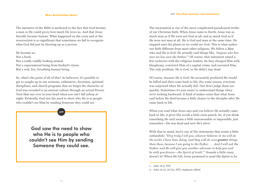The narrative of the Bible is anchored to the fact that God became a man so He could prove how much He loves us. And that Jesus literally became human. What happened on the cross and at the resurrection is so significant that sometimes we fail to recognize what God did just by showing up as a person.

He became us. Not a book. Not a really cuddly looking animal. Not a supernatural being from Ezekiel's vision. But a real, live, breathing human being.

So, what's the point of all of this? As believers, it's possible to get so caught up in our sermons, ordinances, doctrines, spiritual disciplines, and church programs that we forget the character of God was revealed to an ancient culture through an actual Person. Turn that one over in your head when you can't fall asleep at night. Evidently, God saw the need to show who He is to people who couldn't see Him by sending Someone they could see.

> God saw the need to show who He is to people who couldn't see Him by sending Someone they could see.

The incarnation is one of the most complicated paradoxical truths of our Christian faith. When Jesus came to Earth, Jesus was as much man as if He were not God at all, and as much God as if He were not man at all. He is God and man at the same time. He stepped onto the planet so we could see God. This is what makes our faith different from most other religions. We follow a Man who said He is God. He actually said things like, *"Anyone who has seen me has seen the Father." <sup>1</sup>* Of course, that statement raised a few eyebrows with the religious leaders. So they charged Him with blasphemy, convicted Him of a capital crime, and executed Him. The only problem: He is God, so He didn't stay dead.

Of course, because He is God, He accurately predicted He would be killed and then come back to life. For some reason, everyone was surprised when He actually did—but don't judge them too quickly. Sometimes it's just easier to understand things when we're looking backward. It kind of makes sense that what Jesus said before He died became a little clearer to the disciples after He came back to life.

When you read what Jesus says and you believe He actually came back to life, it gives His words a little extra punch. So, if you think something He said seems a little unreasonable or impossible, just remember—He was dead and now He's alive!

With that in mind, here's one of His statements that seems a little outlandish: *"Very truly I tell you, whoever believes in me will do the works I have been doing, and they will do even greater things than these, because I am going to the Father. . . . And I will ask the Father, and He will give you another advocate to help you and be with you forever—the Spirit of truth."* 2 Sounds a little crazy, doesn't it? When He left, Jesus promised to send His Spirit to be

<sup>1.</sup> John 14:9, NIV

<sup>2.</sup> John 14:12, 16-17a, NIV, emphasis added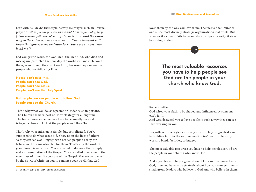here with us. Maybe that explains why He prayed such an unusual prayer, *"Father, just as you are in me and I am in you. May they [those who are followers of Jesus] also be in us so that the world may believe that you have sent me. . . . Then the world will know that you sent me and have loved them even as you have loved me."* <sup>3</sup>

Did you get it? Jesus, the God Man, the Man God, who died and rose again, predicted that one day the world will know He loves them, even though they can't see Him, because they can see the people who are following Him.

Please don't miss this. People can't see God. People can't see Jesus. People can't see the Holy Spirit.

But people can see people who follow God. People can see the Church.

That's why what you do, as a pastor or leader, is so important. The Church has been part of God's strategy for a long time. The best chance someone may have to personally see God is to get a close-up look at the people who follow God.

That's why your mission is simple, but complicated. You're supposed to do what Jesus did. Show up in the lives of others so they can see God. Engage with broken people so they can believe in the Jesus who bled for them. That's why the work of your church is so critical. You are called to do more than simply make a presentation of the Gospel. You are called to engage in the messiness of humanity because of the Gospel. You are compelled by the Spirit of Christ in you to convince your world that God

loves them by the way you love them. The fact is, the Church is one of the most divinely strategic organizations that exists. But when or if a church fails to make relationships a priority, it risks becoming irrelevant.

4477

The most valuable resources you have to help people see God are the people in your church who know God.

So, let's settle it.

God wired your faith to be shaped and influenced by someone else's faith.

And God designed you to love people in such a way they can see Him working in you.

Regardless of the style or size of your church, your greatest asset to building faith in the next generation isn't your Bible study, worship band, facilities, or budget.

The most valuable resources you have to help people see God are the people in your church who know God.

And if you hope to help a generation of kids and teenagers know God, then you have to be strategic about how you connect them to small group leaders who believe in God and who believe in them.

<sup>3.</sup> John 17:21b, 23b, NIV, emphasis added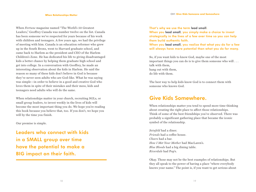When *Fortune* magazine named "The World's 50 Greatest Leaders," Geoffrey Canada was number twelve on the list. Canada has been someone we've respected for years because of his work with children and teenagers. A few years ago, we had the privilege of meeting with him. Canada is an education reformer who grew up in the South Bronx, went to Harvard graduate school, and came back to Harlem as the president and CEO of the Harlem Children's Zone. He has dedicated his life to giving disadvantaged kids a better chance by helping them graduate high school and get into college. In a conversation with Geoffrey, he made an interesting observation about the kids in Harlem. He said the reason so many of these kids don't believe in God is because they've never seen adults who are God-like. What he was saying was simple—in order to believe in a good and creative God who loves them in spite of their mistakes and their mess, kids and teenagers need adults who will do the same.

When relationships matter in your church, recruiting SGLs, or small group leaders, to invest weekly in the lives of kids will become the most important thing you do. We hope you're reading this book because you believe that, too. If you don't, we hope you will by the time you finish.

Our premise is simple.

Leaders who connect with kids in a SMALL group over time have the potential to make a BIG impact on their faith.

That's why we use the term lead small.

When you lead small, you simply make a choice to invest strategically in the lives of a few over time so you can help them build authentic faith.

When you lead small, you realize that what you do for a few will always have more potential than what you do for many.

So, if you want kids to know God, maybe one of the most important things you can do is to give them someone who will . . . talk with them, hang out with them, do life with them.

The best way to help kids know God is to connect them with someone who knows God.

## Give Kids Somewhere.

When relationships matter you tend to spend more time thinking about creating the right place to affect those relationships. Think of some of the best friendships you've observed. There was probably a significant gathering place that became the iconic symbol of the relationship.

*Seinfeld* had a diner. *Friends* had a coffee house. *Cheers* had a bar. *How I Met Your Mother* had MacLaren's. *Blue Bloods* had a big dining table. *Riverdale* had Pop's.

Okay. Those may not be the best examples of relationships. But they all speak to the power of having a place "where everybody knows your name." The point is, if you want to get serious about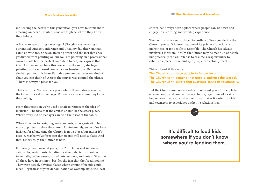influencing the hearts of this generation, you have to think about creating an actual, visible, consistent place where they know they belong.

A few years ago during a message, I (Reggie) was teaching at our annual Orange Conference and I had my daughter Hannah come up with me. She's an amazing artist and the fact that she's graduated from painting on our walls to painting on a professional canvas made her the perfect candidate to help me express this idea. As I began teaching this concept to the room, she began painting, and each word created a new brushstroke. By the end she had painted this beautiful table surrounded by every kind of chair you can think of. Across the canvas was painted the phrase, "There is always a place for you."

That's our role. To provide a place where there's always room at the table for a kid or teenager. To create a space where they know they belong.

From that point on we've used a chair to represent the idea of inclusion. The idea that the church should be the safest place. Where every kid or teenager can find their seat at the table.

When it comes to designing environments, no organization has more opportunity than the church. Unfortunately, some of us have insisted for a long time the Church is not a place, but rather it's people. Maybe we've forgotten that people still need a place. And that, realistically, the Church is both.

For nearly two thousand years, the Church has met in homes, catacombs, restaurants, buildings, cathedrals, tents, theatres, town halls, coffeehouses, storefronts, schools, and hotels. What do all these have in common, besides the fact that they're all nouns? They were actual, physical places where groups of people could meet. Regardless of your denomination or worship style, the local

church has always been a place where people can sit down and engage in a learning and worship experience.

The point is, you need a place. Regardless of how you define the Church, you can't ignore that one of its primary functions is to make it easier for people to assemble. The Church has always involved a location. Ideally, the Church may be made up of people, but practically the Church has to assume a responsibility to establish a place where multiple people can actually meet.

Think about it this way:

The Church can't force people to follow Jesus. The Church can't demand that people embrace the Gospel. The Church can't dictate that everyone connects relationally.

But the Church *can* create a safe and relevant place for people to engage, learn, and connect. Every church, regardless of its size or budget, can create an environment that makes it easier for kids and teenagers to experience authentic relationships.

4499

It's difficult to lead kids somewhere if you don't know where you're leading them.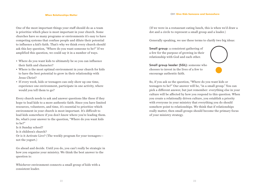One of the most important things your staff should do as a team is prioritize which place is most important in your church. Some churches have so many programs or environments it's easy to have competing systems that confuse people and dilute their potential to influence a kid's faith. That's why we think every church should ask this key question, "Where do you want someone to be?" If we amplified this question, we could say it in a number of ways.

- Where do you want kids to ultimately be so you can influence their faith and character?
- Where is the most optimal environment in your church for kids to have the best potential to grow in their relationship with Jesus Christ?
- If every week, kids or teenagers can only show up one time, experience one environment, participate in one activity, where would you tell them to go?

Every church needs to ask and answer questions like these if they hope to lead kids to a more authentic faith. Since you have limited resources, volunteers, and time, it's essential to prioritize which environment in your church is most important. It's difficult to lead kids somewhere if you don't know where you're leading them. So, what's your answer to the question, "Where do you want kids to be?"

Is it Sunday school?

Is it children's church?

Or is it Activate Live? (The weekly program for your teenagers not the yogurt.)

Go ahead and decide. Until you do, you can't really be strategic in how you organize your ministry. We think the best answer to the question is:

Whichever environment connects a small group of kids with a consistent leader.

(If we were in a restaurant eating lunch, this is when we'd draw a dot and a circle to represent a small group and a leader.)

Generally speaking, we use these terms to clarify two big ideas:

Small group: a consistent gathering of a few for the purpose of growing in their relationship with God and each other.

Small group leader (SGL): someone who chooses to invest in the lives of a few to encourage authentic faith.

So, if you ask us the question, "Where do you want kids or teenagers to be?" Our answer will be, "in a small group." You can pick a different answer, but just remember: everything else in your culture will be affected by how you respond to this question. When you create a relationally driven culture, you establish a priority with everyone in your ministry that everything you do should somehow point to relationships. We think that if relationships really matter, then small groups should become the primary focus of your ministry strategy.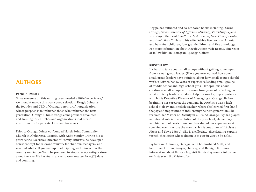## AUTHORS

### REGGIE JOINER

Since someone on this writing team needed a little "experience," we thought maybe this was a good selection. Reggie Joiner is the founder and CEO of Orange, a non-profit organization whose purpose is to influence those who influence the next generation. Orange (ThinkOrange.com) provides resources and training for churches and organizations that create environments for parents, kids, and teenagers.

Prior to Orange, Joiner co-founded North Point Community Church in Alpharetta, Georgia, with Andy Stanley. During his 11 years as the Executive Director of Family Ministry, he developed a new concept for relevant ministry for children, teenagers, and married adults. If you end up road tripping with him across the country on Orange Tour, be prepared to stop at every antique store along the way. He has found a way to wear orange for 4,773 days and counting.

Reggie has authored and co-authored books including, *Think Orange*, *Seven Practices of Effective Ministry*, *Parenting Beyond Your Capacity*, *Lead Small*, It's *Just a Phase*, *New Kind of Leader*, and *Don't Miss It*. He and his wife Debbie live north of Atlanta and have four children, four grandchildren, and five granddogs. For more information about Reggie Joiner, visit ReggieJoiner.com or follow him on Instagram @ReggieJoiner.

#### KRISTEN IVY

It's hard to talk about small groups without getting some input from a small group leader. (Have you ever noticed how some small group leaders have opinions about how small groups should work?) Kristen has 15 years of experience leading small groups of middle school and high school girls. Her opinions about creating a small group culture come from years of reflecting on what ministry leaders can do to help the small group experience win. Ivy is Executive Director of Messaging at Orange. Before beginning her career at the company in 2006, she was a high school biology and English teacher, where she learned first-hand the joy and importance of influencing the next generation. She received her Master of Divinity in 2009. At Orange, Ivy has played an integral role in the evolution of the preschool, elementary, and high school curriculum, and has shared her experiences at speaking events across the country. Ivy is co-author of It's *Just a Phase* and *Don't Miss It*. She is a collegiate-cheerleading-captainturned-theologian whose dream is to star in Cirque du Soleil.

Ivy lives in Cumming, Georgia, with her husband Matt, and her three children, Sawyer, Hensley, and Raleigh. For more information about Kristen Ivy, visit KristenIvy.com or follow her on Instagram @\_Kristen\_Ivy.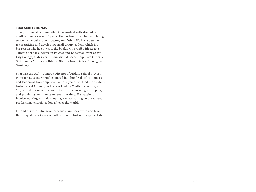#### **TOM SCHEFCHUNAS**

Tom (or as most call him, Shef) has worked with students and adult leaders for over 20 years. He has been a teacher, coach, high school principal, student pastor, and father. He has a passion for recruiting and developing small group leaders, which is a big reason why he co-wrote the book *Lead Small* with Reggie Joiner. Shef has a degree in Physics and Education from Grove City College, a Masters in Educational Leadership from Georgia State, and a Masters in Biblical Studies from Dallas Theological Seminary.

Shef was the Multi-Campus Director of Middle School at North Point for 13 years where he poured into hundreds of volunteers and leaders at five campuses. For four years, Shef led the Student Initiatives at Orange, and is now leading Youth Specialties, a 50 year old organization committed to encouraging, equipping, and providing community for youth leaders. His passions involve working with, developing, and consulting volunteer and professional church leaders all over the world.

He and his wife Julie have three kids, and they swim and bike their way all over Georgia. Follow him on Instagram @coachshef.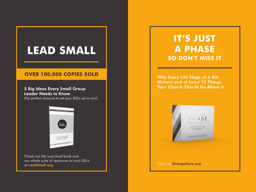# **LEAD SMALL**

## **OVER 100,000 COPIES SOLD**

5 Big Ideas Every Small Group Leader Needs to Know (the perfect resource to set your SGLs up to win!)



Check out the *Lead Small* book and our whole suite of resources to train SGLs at LeadSmall.org

# **IT'S JUST A PHASE SO DON'T MISS IT**

Why Every Life Stage of a Kid Matters and at Least 13 Things Your Church Should Do About It



### Find it at OrangeStore.org

218 219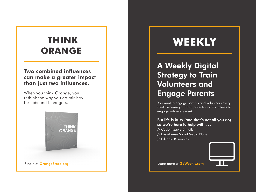# **THINK ORANGE**

## Two combined influences can make a greater impact than just two influences.

When you think Orange, you rethink the way you do ministry for kids and teenagers.



Find it at OrangeStore.org

# **WEEKLY**

# A Weekly Digital Strategy to Train Volunteers and Engage Parents

You want to engage parents and volunteers every week because you want parents and volunteers to engage kids every week.

### But life is busy (and that's not all you do) so we're here to help with . . .

- // Customizable E-mails
- // Easy-to-use Social Media Plans
- // Editable Resources

220 221



Learn more at **GoWeekly.com**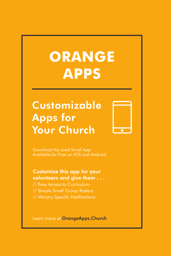# **ORANGE APPS**

# Customizable Apps for Your Church



Download the Lead Small App Available for Free on IOS and Android

### Customize this app for your volunteers and give them . . .

// Easy Access to Curriculum // Simple Small Group Rosters // Ministry Specific Notifications

Learn more at OrangeApps.Church